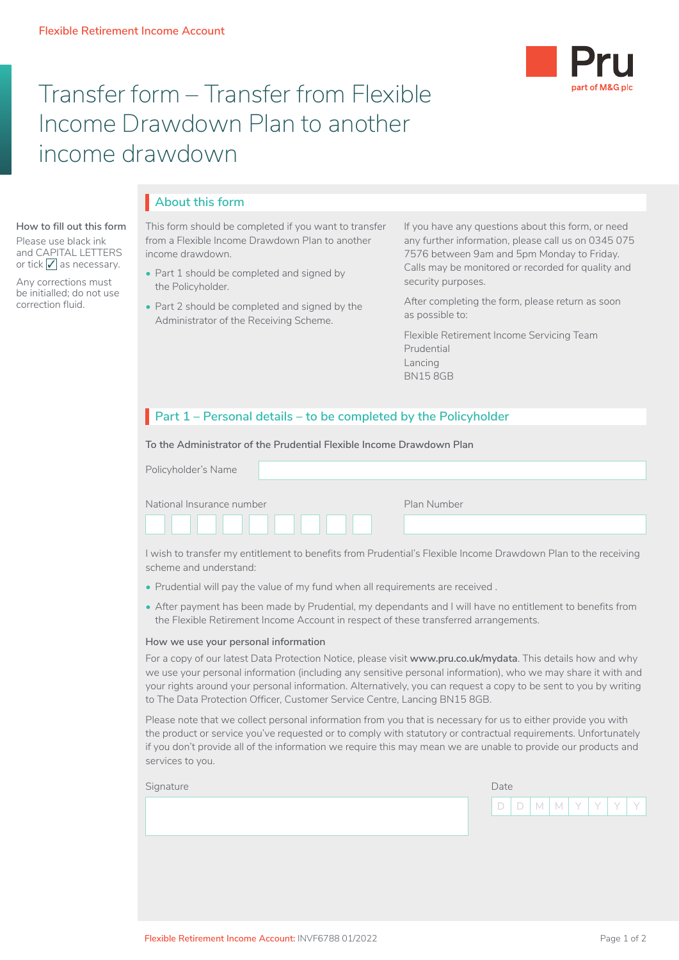**How to fill out this form** Please use black ink and CAPITAL LETTERS or tick  $\sqrt{\ }$  as necessary. Any corrections must be initialled; do not use correction fluid.



# Transfer form – Transfer from Flexible Income Drawdown Plan to another income drawdown

## **About this form** I

This form should be completed if you want to transfer from a Flexible Income Drawdown Plan to another income drawdown.

- Part 1 should be completed and signed by the Policyholder.
- Part 2 should be completed and signed by the Administrator of the Receiving Scheme.

If you have any questions about this form, or need any further information, please call us on 0345 075 7576 between 9am and 5pm Monday to Friday. Calls may be monitored or recorded for quality and security purposes.

After completing the form, please return as soon as possible to:

Flexible Retirement Income Servicing Team Prudential Lancing BN15 8GB

## **Part 1 – Personal details – to be completed by the Policyholder**

**To the Administrator of the Prudential Flexible Income Drawdown Plan**

| Policyholder's Name       |             |
|---------------------------|-------------|
| National Insurance number | Plan Number |
|                           |             |

I wish to transfer my entitlement to benefits from Prudential's Flexible Income Drawdown Plan to the receiving scheme and understand:

- Prudential will pay the value of my fund when all requirements are received .
- After payment has been made by Prudential, my dependants and I will have no entitlement to benefits from the Flexible Retirement Income Account in respect of these transferred arrangements.

#### **How we use your personal information**

For a copy of our latest Data Protection Notice, please visit **www.pru.co.uk/mydata**. This details how and why we use your personal information (including any sensitive personal information), who we may share it with and your rights around your personal information. Alternatively, you can request a copy to be sent to you by writing to The Data Protection Officer, Customer Service Centre, Lancing BN15 8GB.

Please note that we collect personal information from you that is necessary for us to either provide you with the product or service you've requested or to comply with statutory or contractual requirements. Unfortunately if you don't provide all of the information we require this may mean we are unable to provide our products and services to you.

| D D M M Y Y Y Y | Signature | Date |  |  |  |  |
|-----------------|-----------|------|--|--|--|--|
|                 |           |      |  |  |  |  |
|                 |           |      |  |  |  |  |
|                 |           |      |  |  |  |  |